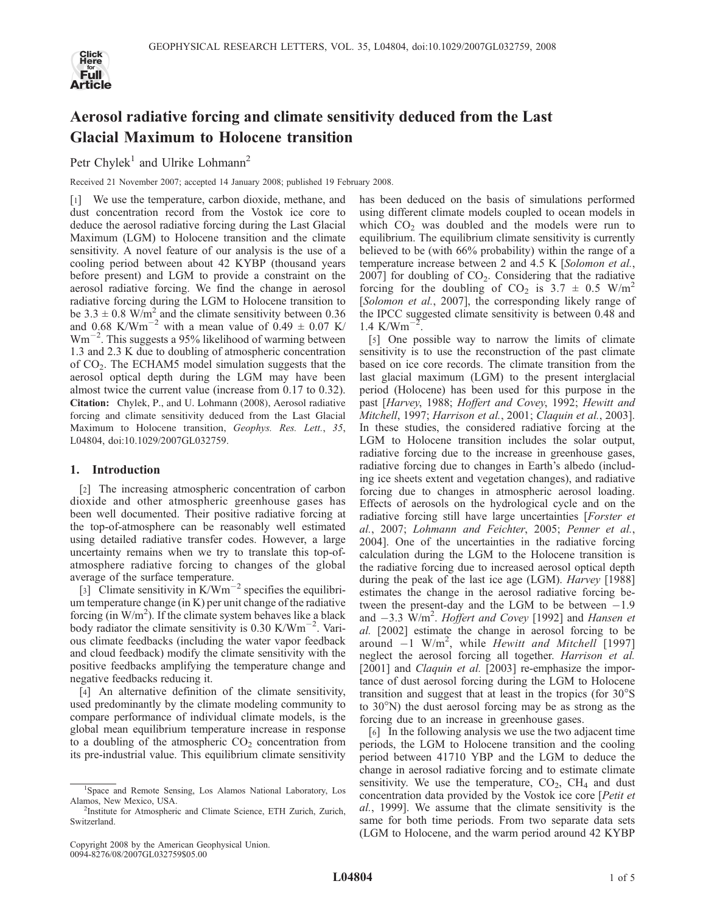

# Aerosol radiative forcing and climate sensitivity deduced from the Last Glacial Maximum to Holocene transition

Petr Chylek<sup>1</sup> and Ulrike Lohmann<sup>2</sup>

Received 21 November 2007; accepted 14 January 2008; published 19 February 2008.

[1] We use the temperature, carbon dioxide, methane, and dust concentration record from the Vostok ice core to deduce the aerosol radiative forcing during the Last Glacial Maximum (LGM) to Holocene transition and the climate sensitivity. A novel feature of our analysis is the use of a cooling period between about 42 KYBP (thousand years before present) and LGM to provide a constraint on the aerosol radiative forcing. We find the change in aerosol radiative forcing during the LGM to Holocene transition to be  $3.3 \pm 0.8$  W/m<sup>2</sup> and the climate sensitivity between 0.36 and 0.68 K/Wm<sup>-2</sup> with a mean value of 0.49  $\pm$  0.07 K/  $Wm^{-2}$ . This suggests a 95% likelihood of warming between 1.3 and 2.3 K due to doubling of atmospheric concentration of CO2. The ECHAM5 model simulation suggests that the aerosol optical depth during the LGM may have been almost twice the current value (increase from 0.17 to 0.32). Citation: Chylek, P., and U. Lohmann (2008), Aerosol radiative forcing and climate sensitivity deduced from the Last Glacial Maximum to Holocene transition, Geophys. Res. Lett., 35, L04804, doi:10.1029/2007GL032759.

#### 1. Introduction

[2] The increasing atmospheric concentration of carbon dioxide and other atmospheric greenhouse gases has been well documented. Their positive radiative forcing at the top-of-atmosphere can be reasonably well estimated using detailed radiative transfer codes. However, a large uncertainty remains when we try to translate this top-ofatmosphere radiative forcing to changes of the global average of the surface temperature.

[3] Climate sensitivity in  $K/Wm^{-2}$  specifies the equilibrium temperature change (in K) per unit change of the radiative forcing (in  $W/m^2$ ). If the climate system behaves like a black body radiator the climate sensitivity is  $0.30 \text{ K}/\text{Wm}^{-2}$ . Various climate feedbacks (including the water vapor feedback and cloud feedback) modify the climate sensitivity with the positive feedbacks amplifying the temperature change and negative feedbacks reducing it.

[4] An alternative definition of the climate sensitivity, used predominantly by the climate modeling community to compare performance of individual climate models, is the global mean equilibrium temperature increase in response to a doubling of the atmospheric  $CO<sub>2</sub>$  concentration from its pre-industrial value. This equilibrium climate sensitivity

has been deduced on the basis of simulations performed using different climate models coupled to ocean models in which  $CO<sub>2</sub>$  was doubled and the models were run to equilibrium. The equilibrium climate sensitivity is currently believed to be (with 66% probability) within the range of a temperature increase between 2 and 4.5 K [Solomon et al., 2007] for doubling of  $CO<sub>2</sub>$ . Considering that the radiative forcing for the doubling of CO<sub>2</sub> is  $3.7 \pm 0.5$  W/m<sup>2</sup> [Solomon et al., 2007], the corresponding likely range of the IPCC suggested climate sensitivity is between 0.48 and 1.4 K/Wm<sup> $-2$ </sup> .

[5] One possible way to narrow the limits of climate sensitivity is to use the reconstruction of the past climate based on ice core records. The climate transition from the last glacial maximum (LGM) to the present interglacial period (Holocene) has been used for this purpose in the past [Harvey, 1988; Hoffert and Covey, 1992; Hewitt and Mitchell, 1997; Harrison et al., 2001; Claquin et al., 2003]. In these studies, the considered radiative forcing at the LGM to Holocene transition includes the solar output, radiative forcing due to the increase in greenhouse gases, radiative forcing due to changes in Earth's albedo (including ice sheets extent and vegetation changes), and radiative forcing due to changes in atmospheric aerosol loading. Effects of aerosols on the hydrological cycle and on the radiative forcing still have large uncertainties [Forster et al., 2007; Lohmann and Feichter, 2005; Penner et al., 2004]. One of the uncertainties in the radiative forcing calculation during the LGM to the Holocene transition is the radiative forcing due to increased aerosol optical depth during the peak of the last ice age (LGM). *Harvey* [1988] estimates the change in the aerosol radiative forcing between the present-day and the LGM to be between  $-1.9$ and  $-3.3 \text{ W/m}^2$ . Hoffert and Covey [1992] and Hansen et al. [2002] estimate the change in aerosol forcing to be around  $-1$  W/m<sup>2</sup>, while *Hewitt and Mitchell* [1997] neglect the aerosol forcing all together. Harrison et al. [2001] and *Claquin et al.* [2003] re-emphasize the importance of dust aerosol forcing during the LGM to Holocene transition and suggest that at least in the tropics (for  $30^{\circ}$ S) to  $30^{\circ}$ N) the dust aerosol forcing may be as strong as the forcing due to an increase in greenhouse gases.

[6] In the following analysis we use the two adjacent time periods, the LGM to Holocene transition and the cooling period between 41710 YBP and the LGM to deduce the change in aerosol radiative forcing and to estimate climate sensitivity. We use the temperature,  $CO<sub>2</sub>$ ,  $CH<sub>4</sub>$  and dust concentration data provided by the Vostok ice core [Petit et al., 1999]. We assume that the climate sensitivity is the same for both time periods. From two separate data sets (LGM to Holocene, and the warm period around 42 KYBP

<sup>&</sup>lt;sup>1</sup>Space and Remote Sensing, Los Alamos National Laboratory, Los Alamos, New Mexico, USA. <sup>2</sup>

<sup>&</sup>lt;sup>2</sup>Institute for Atmospheric and Climate Science, ETH Zurich, Zurich, Switzerland.

Copyright 2008 by the American Geophysical Union. 0094-8276/08/2007GL032759\$05.00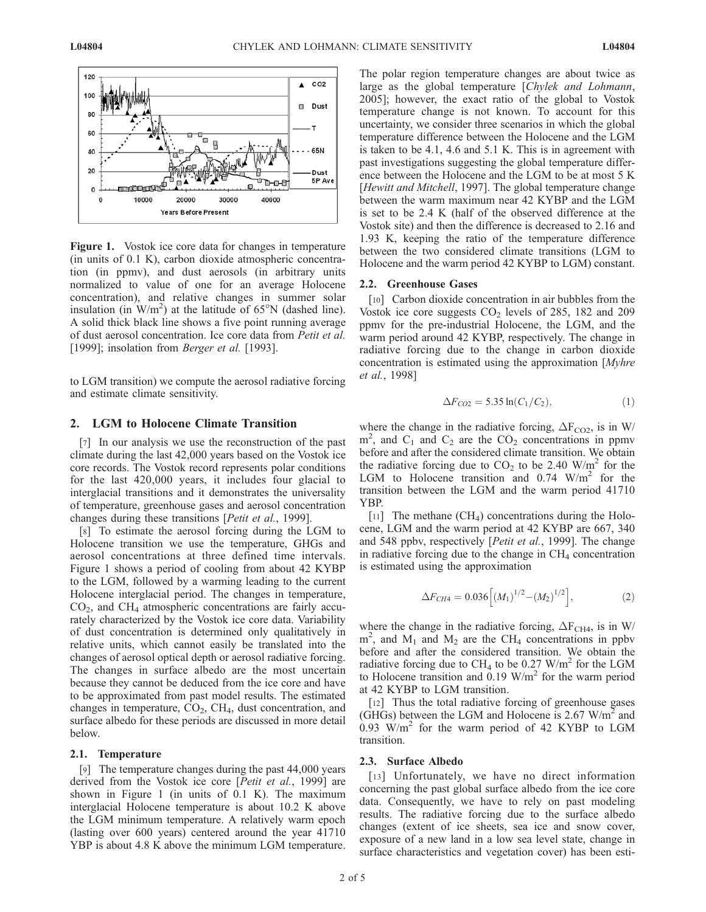

Figure 1. Vostok ice core data for changes in temperature (in units of 0.1 K), carbon dioxide atmospheric concentration (in ppmv), and dust aerosols (in arbitrary units normalized to value of one for an average Holocene concentration), and relative changes in summer solar insulation (in  $W/m^2$ ) at the latitude of 65°N (dashed line). A solid thick black line shows a five point running average of dust aerosol concentration. Ice core data from Petit et al. [1999]; insolation from Berger et al. [1993].

to LGM transition) we compute the aerosol radiative forcing and estimate climate sensitivity.

# 2. LGM to Holocene Climate Transition

[7] In our analysis we use the reconstruction of the past climate during the last 42,000 years based on the Vostok ice core records. The Vostok record represents polar conditions for the last 420,000 years, it includes four glacial to interglacial transitions and it demonstrates the universality of temperature, greenhouse gases and aerosol concentration changes during these transitions [Petit et al., 1999].

[8] To estimate the aerosol forcing during the LGM to Holocene transition we use the temperature, GHGs and aerosol concentrations at three defined time intervals. Figure 1 shows a period of cooling from about 42 KYBP to the LGM, followed by a warming leading to the current Holocene interglacial period. The changes in temperature,  $CO<sub>2</sub>$ , and  $CH<sub>4</sub>$  atmospheric concentrations are fairly accurately characterized by the Vostok ice core data. Variability of dust concentration is determined only qualitatively in relative units, which cannot easily be translated into the changes of aerosol optical depth or aerosol radiative forcing. The changes in surface albedo are the most uncertain because they cannot be deduced from the ice core and have to be approximated from past model results. The estimated changes in temperature,  $CO<sub>2</sub>$ ,  $CH<sub>4</sub>$ , dust concentration, and surface albedo for these periods are discussed in more detail below.

#### 2.1. Temperature

[9] The temperature changes during the past 44,000 years derived from the Vostok ice core [Petit et al., 1999] are shown in Figure 1 (in units of 0.1 K). The maximum interglacial Holocene temperature is about 10.2 K above the LGM minimum temperature. A relatively warm epoch (lasting over 600 years) centered around the year 41710 YBP is about 4.8 K above the minimum LGM temperature.

The polar region temperature changes are about twice as large as the global temperature [Chylek and Lohmann, 2005]; however, the exact ratio of the global to Vostok temperature change is not known. To account for this uncertainty, we consider three scenarios in which the global temperature difference between the Holocene and the LGM is taken to be 4.1, 4.6 and 5.1 K. This is in agreement with past investigations suggesting the global temperature difference between the Holocene and the LGM to be at most 5 K [Hewitt and Mitchell, 1997]. The global temperature change between the warm maximum near 42 KYBP and the LGM is set to be 2.4 K (half of the observed difference at the Vostok site) and then the difference is decreased to 2.16 and 1.93 K, keeping the ratio of the temperature difference between the two considered climate transitions (LGM to Holocene and the warm period 42 KYBP to LGM) constant.

#### 2.2. Greenhouse Gases

[10] Carbon dioxide concentration in air bubbles from the Vostok ice core suggests  $CO<sub>2</sub>$  levels of 285, 182 and 209 ppmv for the pre-industrial Holocene, the LGM, and the warm period around 42 KYBP, respectively. The change in radiative forcing due to the change in carbon dioxide concentration is estimated using the approximation [Myhre et al., 1998]

$$
\Delta F_{CO2} = 5.35 \ln(C_1/C_2), \tag{1}
$$

where the change in the radiative forcing,  $\Delta F_{CO2}$ , is in W/  $m<sup>2</sup>$ , and C<sub>1</sub> and C<sub>2</sub> are the CO<sub>2</sub> concentrations in ppmv before and after the considered climate transition. We obtain the radiative forcing due to  $CO<sub>2</sub>$  to be 2.40 W/m<sup>2</sup> for the LGM to Holocene transition and  $0.74$  W/m<sup>2</sup> for the transition between the LGM and the warm period 41710 YBP.

[11] The methane  $(CH_4)$  concentrations during the Holocene, LGM and the warm period at 42 KYBP are 667, 340 and 548 ppby, respectively [*Petit et al.*, 1999]. The change in radiative forcing due to the change in  $CH<sub>4</sub>$  concentration is estimated using the approximation

$$
\Delta F_{CH4} = 0.036 \left[ (M_1)^{1/2} - (M_2)^{1/2} \right],\tag{2}
$$

where the change in the radiative forcing,  $\Delta F_{CH4}$ , is in W/  $m<sup>2</sup>$ , and  $M<sub>1</sub>$  and  $M<sub>2</sub>$  are the CH<sub>4</sub> concentrations in ppbv before and after the considered transition. We obtain the radiative forcing due to CH<sub>4</sub> to be 0.27 W/m<sup>2</sup> for the LGM to Holocene transition and 0.19  $\text{W/m}^2$  for the warm period at 42 KYBP to LGM transition.

[12] Thus the total radiative forcing of greenhouse gases (GHGs) between the LGM and Holocene is 2.67  $W/m<sup>2</sup>$  and 0.93  $W/m<sup>2</sup>$  for the warm period of 42 KYBP to LGM transition.

### 2.3. Surface Albedo

[13] Unfortunately, we have no direct information concerning the past global surface albedo from the ice core data. Consequently, we have to rely on past modeling results. The radiative forcing due to the surface albedo changes (extent of ice sheets, sea ice and snow cover, exposure of a new land in a low sea level state, change in surface characteristics and vegetation cover) has been esti-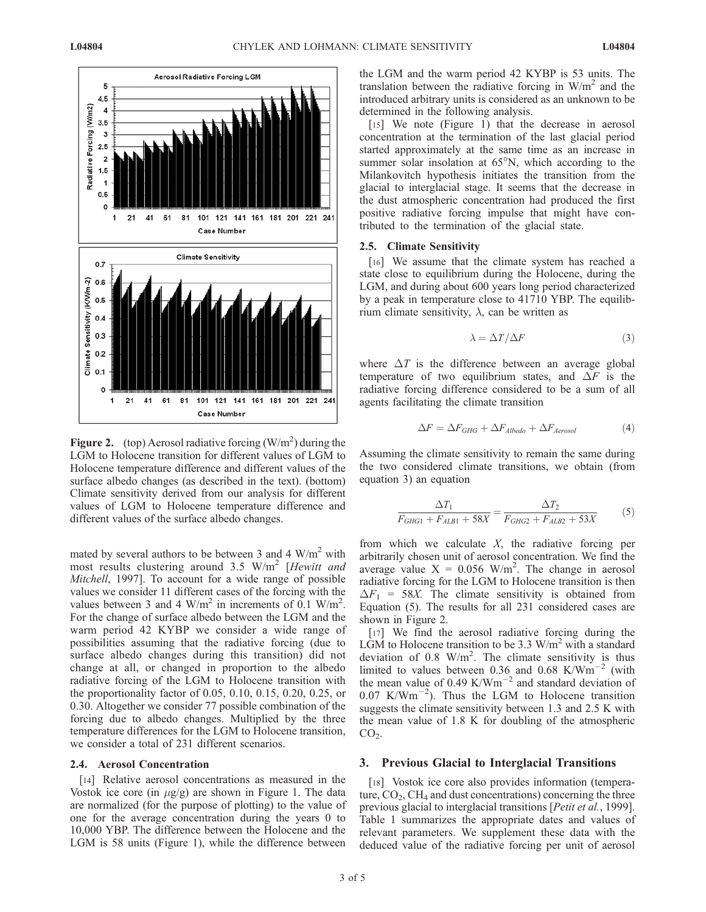

Figure 2. (top) Aerosol radiative forcing  $(W/m^2)$  during the LGM to Holocene transition for different values of LGM to Holocene temperature difference and different values of the surface albedo changes (as described in the text). (bottom) Climate sensitivity derived from our analysis for different values of LGM to Holocene temperature difference and different values of the surface albedo changes.

mated by several authors to be between 3 and 4  $W/m<sup>2</sup>$  with most results clustering around 3.5  $W/m^2$  [Hewitt and Mitchell, 1997]. To account for a wide range of possible values we consider 11 different cases of the forcing with the values between 3 and 4 W/m<sup>2</sup> in increments of  $\overline{0.1}$  W/m<sup>2</sup>. For the change of surface albedo between the LGM and the warm period 42 KYBP we consider a wide range of possibilities assuming that the radiative forcing (due to surface albedo changes during this transition) did not change at all, or changed in proportion to the albedo radiative forcing of the LGM to Holocene transition with the proportionality factor of 0.05, 0.10, 0.15, 0.20, 0.25, or 0.30. Altogether we consider 77 possible combination of the forcing due to albedo changes. Multiplied by the three temperature differences for the LGM to Holocene transition, we consider a total of 231 different scenarios.

#### 2.4. Aerosol Concentration

[14] Relative aerosol concentrations as measured in the Vostok ice core (in  $\mu$ g/g) are shown in Figure 1. The data are normalized (for the purpose of plotting) to the value of one for the average concentration during the years 0 to 10,000 YBP. The difference between the Holocene and the LGM is 58 units (Figure 1), while the difference between

the LGM and the warm period 42 KYBP is 53 units. The translation between the radiative forcing in  $W/m<sup>2</sup>$  and the introduced arbitrary units is considered as an unknown to be determined in the following analysis.

[15] We note (Figure 1) that the decrease in aerosol concentration at the termination of the last glacial period started approximately at the same time as an increase in summer solar insolation at  $65^{\circ}$ N, which according to the Milankovitch hypothesis initiates the transition from the glacial to interglacial stage. It seems that the decrease in the dust atmospheric concentration had produced the first positive radiative forcing impulse that might have contributed to the termination of the glacial state.

#### 2.5. Climate Sensitivity

[16] We assume that the climate system has reached a state close to equilibrium during the Holocene, during the LGM, and during about 600 years long period characterized by a peak in temperature close to 41710 YBP. The equilibrium climate sensitivity,  $\lambda$ , can be written as

$$
\lambda = \Delta T / \Delta F \tag{3}
$$

where  $\Delta T$  is the difference between an average global temperature of two equilibrium states, and  $\Delta F$  is the radiative forcing difference considered to be a sum of all agents facilitating the climate transition

$$
\Delta F = \Delta F_{GHG} + \Delta F_{Albedo} + \Delta F_{Aerosol} \tag{4}
$$

Assuming the climate sensitivity to remain the same during the two considered climate transitions, we obtain (from equation 3) an equation

$$
\frac{\Delta T_1}{F_{GHG1} + F_{ALB1} + 58X} = \frac{\Delta T_2}{F_{GHG2} + F_{ALB2} + 53X} \tag{5}
$$

from which we calculate  $X$ , the radiative forcing per arbitrarily chosen unit of aerosol concentration. We find the average value  $X = 0.056$  W/m<sup>2</sup>. The change in aerosol radiative forcing for the LGM to Holocene transition is then  $\Delta F_1$  = 58X. The climate sensitivity is obtained from Equation (5). The results for all 231 considered cases are shown in Figure 2.

[17] We find the aerosol radiative forcing during the LGM to Holocene transition to be 3.3  $W/m<sup>2</sup>$  with a standard deviation of 0.8  $W/m^2$ . The climate sensitivity is thus limited to values between 0.36 and 0.68 K/Wm<sup>-2</sup> (with the mean value of  $0.49$  K/Wm<sup>-2</sup> and standard deviation of  $0.07$  K/Wm<sup>-2</sup>). Thus the LGM to Holocene transition suggests the climate sensitivity between 1.3 and 2.5 K with the mean value of 1.8 K for doubling of the atmospheric  $CO<sub>2</sub>$ .

#### 3. Previous Glacial to Interglacial Transitions

[18] Vostok ice core also provides information (temperature,  $CO<sub>2</sub>$ , CH<sub>4</sub> and dust concentrations) concerning the three previous glacial to interglacial transitions [Petit et al., 1999]. Table 1 summarizes the appropriate dates and values of relevant parameters. We supplement these data with the deduced value of the radiative forcing per unit of aerosol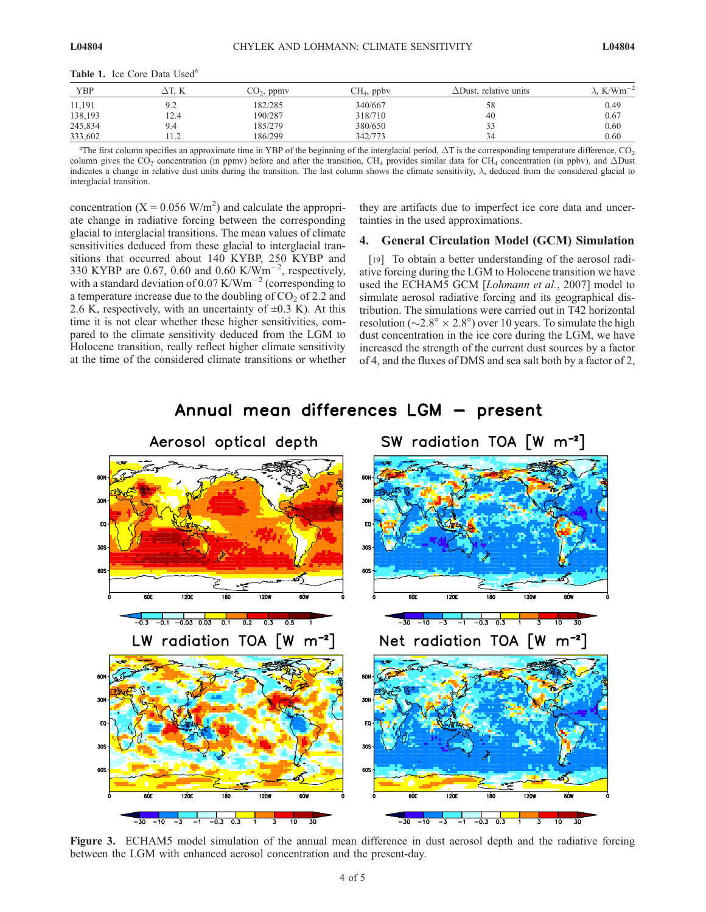| Table 1. Ice Core Data Used <sup>a</sup> |  |  |  |  |
|------------------------------------------|--|--|--|--|
|------------------------------------------|--|--|--|--|

| YBP     | ДТ. К                  | $CO2$ , ppmv | $CH4$ , ppbv | $\Delta$ Dust, relative units | $\lambda$ , K/Wm <sup>-2</sup> |
|---------|------------------------|--------------|--------------|-------------------------------|--------------------------------|
| 11,191  | 9.2                    | 182/285      | 340/667      | 58                            | 0.49                           |
| 138,193 | 12.4                   | 190/287      | 318/710      | 40                            | 0.67                           |
| 245,834 | 9.4                    | 185/279      | 380/650      | 33                            | 0.60                           |
| 333,602 | 1 <sub>2</sub><br>11.4 | 186/299      | 342/773      | 34                            | 0.60                           |

<sup>a</sup>The first column specifies an approximate time in YBP of the beginning of the interglacial period,  $\Delta T$  is the corresponding temperature difference, CO<sub>2</sub> column gives the CO<sub>2</sub> concentration (in ppmv) before and after the transition, CH<sub>4</sub> provides similar data for CH<sub>4</sub> concentration (in ppbv), and  $\Delta$ Dust indicates a change in relative dust units during the transition. The last column shows the climate sensitivity,  $\lambda$ , deduced from the considered glacial to interglacial transition.

concentration  $(X = 0.056 \text{ W/m}^2)$  and calculate the appropriate change in radiative forcing between the corresponding glacial to interglacial transitions. The mean values of climate sensitivities deduced from these glacial to interglacial transitions that occurred about 140 KYBP, 250 KYBP and 330 KYBP are 0.67, 0.60 and 0.60 K/Wm<sup>-2</sup>, respectively, with a standard deviation of 0.07 K/Wm<sup>-2</sup> (corresponding to a temperature increase due to the doubling of  $CO<sub>2</sub>$  of 2.2 and 2.6 K, respectively, with an uncertainty of  $\pm 0.3$  K). At this time it is not clear whether these higher sensitivities, compared to the climate sensitivity deduced from the LGM to Holocene transition, really reflect higher climate sensitivity at the time of the considered climate transitions or whether

they are artifacts due to imperfect ice core data and uncertainties in the used approximations.

## 4. General Circulation Model (GCM) Simulation

[19] To obtain a better understanding of the aerosol radiative forcing during the LGM to Holocene transition we have used the ECHAM5 GCM [Lohmann et al., 2007] model to simulate aerosol radiative forcing and its geographical distribution. The simulations were carried out in T42 horizontal resolution ( $\sim$ 2.8°  $\times$  2.8°) over 10 years. To simulate the high dust concentration in the ice core during the LGM, we have increased the strength of the current dust sources by a factor of 4, and the fluxes of DMS and sea salt both by a factor of 2,



Annual mean differences LGM - present

Figure 3. ECHAM5 model simulation of the annual mean difference in dust aerosol depth and the radiative forcing between the LGM with enhanced aerosol concentration and the present-day.